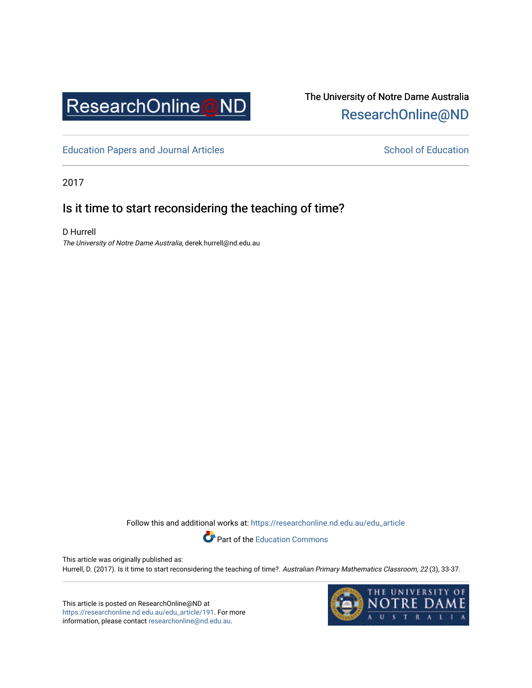

# The University of Notre Dame Australia [ResearchOnline@ND](https://researchonline.nd.edu.au/)

[Education Papers and Journal Articles](https://researchonline.nd.edu.au/edu_article) [School of Education](https://researchonline.nd.edu.au/edu) School of Education

2017

# Is it time to start reconsidering the teaching of time?

D Hurrell The University of Notre Dame Australia, derek.hurrell@nd.edu.au

Follow this and additional works at: [https://researchonline.nd.edu.au/edu\\_article](https://researchonline.nd.edu.au/edu_article?utm_source=researchonline.nd.edu.au%2Fedu_article%2F191&utm_medium=PDF&utm_campaign=PDFCoverPages)

Part of the [Education Commons](http://network.bepress.com/hgg/discipline/784?utm_source=researchonline.nd.edu.au%2Fedu_article%2F191&utm_medium=PDF&utm_campaign=PDFCoverPages) 

This article was originally published as: Hurrell, D. (2017). Is it time to start reconsidering the teaching of time?. Australian Primary Mathematics Classroom, 22 (3), 33-37.

This article is posted on ResearchOnline@ND at [https://researchonline.nd.edu.au/edu\\_article/191](https://researchonline.nd.edu.au/edu_article/191). For more information, please contact [researchonline@nd.edu.au.](mailto:researchonline@nd.edu.au)

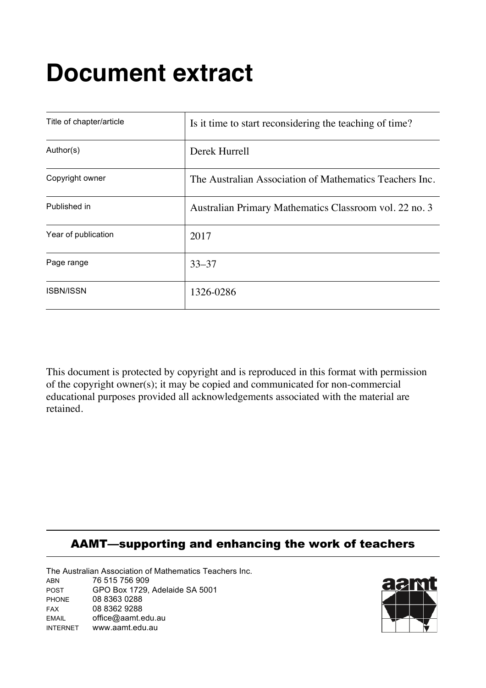# **Document extract**

| Title of chapter/article | Is it time to start reconsidering the teaching of time? |  |  |
|--------------------------|---------------------------------------------------------|--|--|
| Author(s)                | Derek Hurrell                                           |  |  |
| Copyright owner          | The Australian Association of Mathematics Teachers Inc. |  |  |
| Published in             | Australian Primary Mathematics Classroom vol. 22 no. 3  |  |  |
| Year of publication      | 2017                                                    |  |  |
| Page range               | $33 - 37$                                               |  |  |
| <b>ISBN/ISSN</b>         | 1326-0286                                               |  |  |

This document is protected by copyright and is reproduced in this format with permission of the copyright owner(s); it may be copied and communicated for non-commercial educational purposes provided all acknowledgements associated with the material are retained.

# AAMT—supporting and enhancing the work of teachers

The Australian Association of Mathematics Teachers Inc. ABN 76 515 756 909 POST GPO Box 1729, Adelaide SA 5001 PHONE 08 8363 0288 FAX 08 8362 9288 EMAIL office@aamt.edu.au INTERNET www.aamt.edu.au

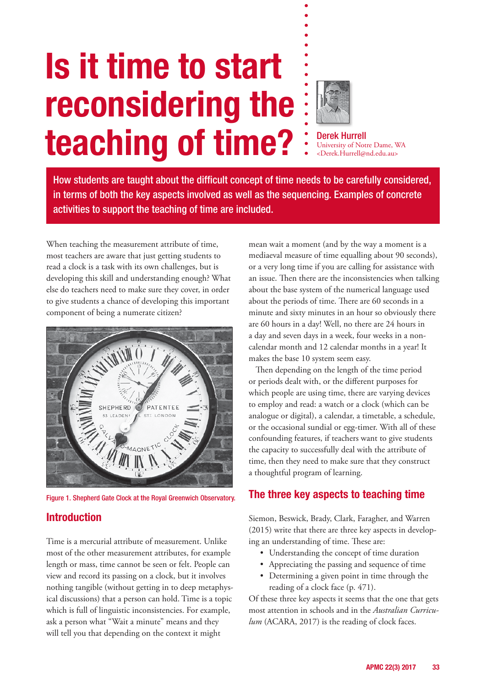# **Is it time to start reconsidering the teaching of time?**



Derek Hurrell University of Notre Dame, WA <Derek.Hurrell@nd.edu.au>

How students are taught about the difficult concept of time needs to be carefully considered, in terms of both the key aspects involved as well as the sequencing. Examples of concrete activities to support the teaching of time are included.

When teaching the measurement attribute of time, most teachers are aware that just getting students to read a clock is a task with its own challenges, but is developing this skill and understanding enough? What else do teachers need to make sure they cover, in order to give students a chance of developing this important component of being a numerate citizen?



Figure 1. Shepherd Gate Clock at the Royal Greenwich Observatory.

## **Introduction**

Time is a mercurial attribute of measurement. Unlike most of the other measurement attributes, for example length or mass, time cannot be seen or felt. People can view and record its passing on a clock, but it involves nothing tangible (without getting in to deep metaphysical discussions) that a person can hold. Time is a topic which is full of linguistic inconsistencies. For example, ask a person what "Wait a minute" means and they will tell you that depending on the context it might

mean wait a moment (and by the way a moment is a mediaeval measure of time equalling about 90 seconds), or a very long time if you are calling for assistance with an issue. Then there are the inconsistencies when talking about the base system of the numerical language used about the periods of time. There are 60 seconds in a minute and sixty minutes in an hour so obviously there are 60 hours in a day! Well, no there are 24 hours in a day and seven days in a week, four weeks in a noncalendar month and 12 calendar months in a year! It makes the base 10 system seem easy.

Then depending on the length of the time period or periods dealt with, or the different purposes for which people are using time, there are varying devices to employ and read: a watch or a clock (which can be analogue or digital), a calendar, a timetable, a schedule, or the occasional sundial or egg-timer. With all of these confounding features, if teachers want to give students the capacity to successfully deal with the attribute of time, then they need to make sure that they construct a thoughtful program of learning.

## **The three key aspects to teaching time**

Siemon, Beswick, Brady, Clark, Faragher, and Warren (2015) write that there are three key aspects in developing an understanding of time. These are:

- Understanding the concept of time duration
- • Appreciating the passing and sequence of time
- • Determining a given point in time through the reading of a clock face (p. 471).

Of these three key aspects it seems that the one that gets most attention in schools and in the *Australian Curriculum* (ACARA, 2017) is the reading of clock faces.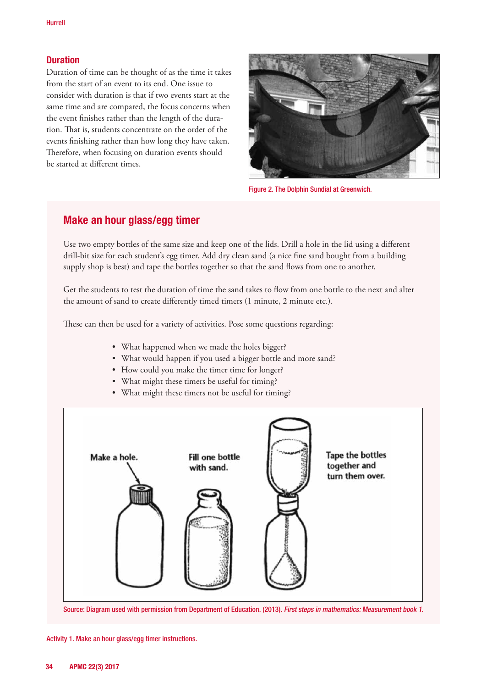#### **Duration**

Duration of time can be thought of as the time it takes from the start of an event to its end. One issue to consider with duration is that if two events start at the same time and are compared, the focus concerns when the event finishes rather than the length of the duration. That is, students concentrate on the order of the events finishing rather than how long they have taken. Therefore, when focusing on duration events should be started at different times.



Figure 2. The Dolphin Sundial at Greenwich.

#### **Make an hour glass/egg timer**

Use two empty bottles of the same size and keep one of the lids. Drill a hole in the lid using a different drill-bit size for each student's egg timer. Add dry clean sand (a nice fine sand bought from a building supply shop is best) and tape the bottles together so that the sand flows from one to another.

Get the students to test the duration of time the sand takes to flow from one bottle to the next and alter the amount of sand to create differently timed timers (1 minute, 2 minute etc.).

These can then be used for a variety of activities. Pose some questions regarding:

- What happened when we made the holes bigger?
- What would happen if you used a bigger bottle and more sand?
- • How could you make the timer time for longer?
- What might these timers be useful for timing?
- What might these timers not be useful for timing?



Source: Diagram used with permission from Department of Education. (2013). First steps in mathematics: Measurement book 1.

Activity 1. Make an hour glass/egg timer instructions.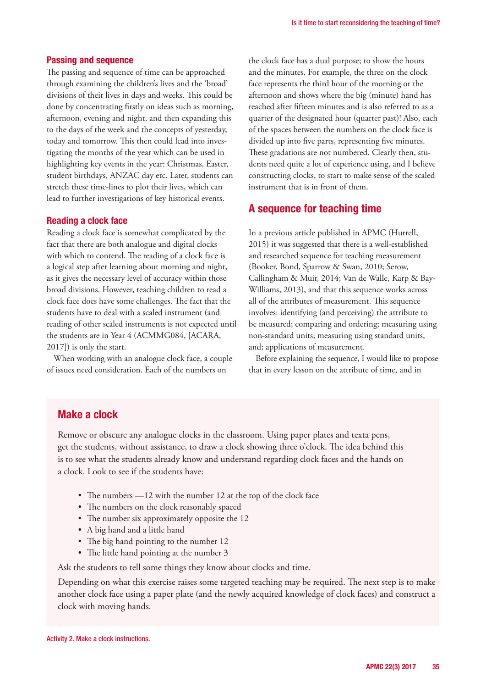#### **Passing and sequence**

The passing and sequence of time can be approached through examining the children's lives and the 'broad' divisions of their lives in days and weeks. This could be done by concentrating firstly on ideas such as morning, afternoon, evening and night, and then expanding this to the days of the week and the concepts of yesterday, today and tomorrow. This then could lead into investigating the months of the year which can be used in highlighting key events in the year: Christmas, Easter, student birthdays, ANZAC day etc. Later, students can stretch these time-lines to plot their lives, which can lead to further investigations of key historical events.

#### **Reading a clock face**

Reading a clock face is somewhat complicated by the fact that there are both analogue and digital clocks with which to contend. The reading of a clock face is a logical step after learning about morning and night, as it gives the necessary level of accuracy within those broad divisions. However, teaching children to read a clock face does have some challenges. The fact that the students have to deal with a scaled instrument (and reading of other scaled instruments is not expected until the students are in Year 4 (ACMMG084, [ACARA, 2017]) is only the start.

When working with an analogue clock face, a couple of issues need consideration. Each of the numbers on

the clock face has a dual purpose; to show the hours and the minutes. For example, the three on the clock face represents the third hour of the morning or the afternoon and shows where the big (minute) hand has reached after fifteen minutes and is also referred to as a quarter of the designated hour (quarter past)! Also, each of the spaces between the numbers on the clock face is divided up into five parts, representing five minutes. These gradations are not numbered. Clearly then, students need quite a lot of experience using, and I believe constructing clocks, to start to make sense of the scaled instrument that is in front of them.

#### **A sequence for teaching time**

In a previous article published in APMC (Hurrell, 2015) it was suggested that there is a well-established and researched sequence for teaching measurement (Booker, Bond, Sparrow & Swan, 2010; Serow, Callingham & Muir, 2014; Van de Walle, Karp & Bay-Williams, 2013), and that this sequence works across all of the attributes of measurement. This sequence involves: identifying (and perceiving) the attribute to be measured; comparing and ordering; measuring using non-standard units; measuring using standard units, and; applications of measurement.

Before explaining the sequence, I would like to propose that in every lesson on the attribute of time, and in

#### **Make a clock**

Remove or obscure any analogue clocks in the classroom. Using paper plates and texta pens, get the students, without assistance, to draw a clock showing three o'clock. The idea behind this is to see what the students already know and understand regarding clock faces and the hands on a clock. Look to see if the students have:

- The numbers —12 with the number 12 at the top of the clock face
- The numbers on the clock reasonably spaced
- The number six approximately opposite the 12
- • A big hand and a little hand
- The big hand pointing to the number 12
- The little hand pointing at the number 3

Ask the students to tell some things they know about clocks and time.

Depending on what this exercise raises some targeted teaching may be required. The next step is to make another clock face using a paper plate (and the newly acquired knowledge of clock faces) and construct a clock with moving hands.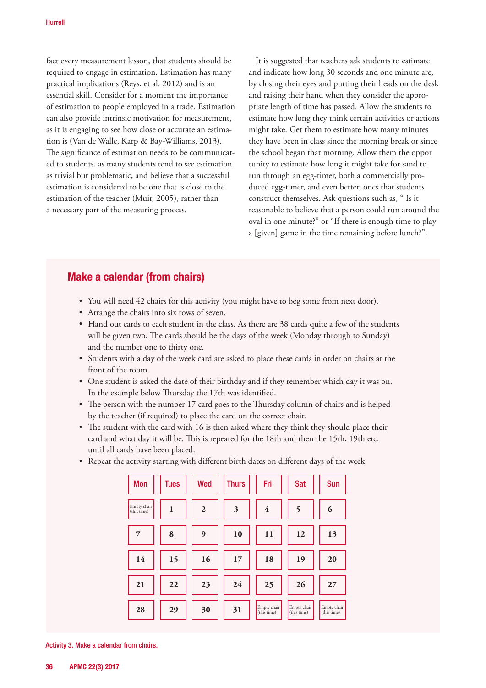fact every measurement lesson, that students should be required to engage in estimation. Estimation has many practical implications (Reys, et al. 2012) and is an essential skill. Consider for a moment the importance of estimation to people employed in a trade. Estimation can also provide intrinsic motivation for measurement, as it is engaging to see how close or accurate an estimation is (Van de Walle, Karp & Bay-Williams, 2013). The significance of estimation needs to be communicated to students, as many students tend to see estimation as trivial but problematic, and believe that a successful estimation is considered to be one that is close to the estimation of the teacher (Muir, 2005), rather than a necessary part of the measuring process.

It is suggested that teachers ask students to estimate and indicate how long 30 seconds and one minute are, by closing their eyes and putting their heads on the desk and raising their hand when they consider the appropriate length of time has passed. Allow the students to estimate how long they think certain activities or actions might take. Get them to estimate how many minutes they have been in class since the morning break or since the school began that morning. Allow them the oppor tunity to estimate how long it might take for sand to run through an egg-timer, both a commercially produced egg-timer, and even better, ones that students construct themselves. Ask questions such as, " Is it reasonable to believe that a person could run around the oval in one minute?" or "If there is enough time to play a [given] game in the time remaining before lunch?".

#### **Make a calendar (from chairs)**

- You will need 42 chairs for this activity (you might have to beg some from next door).
- • Arrange the chairs into six rows of seven.
- Hand out cards to each student in the class. As there are 38 cards quite a few of the students will be given two. The cards should be the days of the week (Monday through to Sunday) and the number one to thirty one.
- • Students with a day of the week card are asked to place these cards in order on chairs at the front of the room.
- • One student is asked the date of their birthday and if they remember which day it was on. In the example below Thursday the 17th was identified.
- • The person with the number 17 card goes to the Thursday column of chairs and is helped by the teacher (if required) to place the card on the correct chair.
- The student with the card with 16 is then asked where they think they should place their card and what day it will be. This is repeated for the 18th and then the 15th, 19th etc. until all cards have been placed.
- Repeat the activity starting with different birth dates on different days of the week.

| <b>Mon</b>                 | <b>Tues</b> | Wed            | <b>Thurs</b> | Fri                        | <b>Sat</b>                 | Sun                        |
|----------------------------|-------------|----------------|--------------|----------------------------|----------------------------|----------------------------|
| Empty chair<br>(this time) | 1           | $\overline{2}$ | 3            | $\overline{\mathbf{4}}$    | 5                          | 6                          |
| 7                          | 8           | 9              | 10           | 11                         | 12                         | 13                         |
| 14                         | 15          | 16             | 17           | 18                         | 19                         | 20                         |
| 21                         | 22          | 23             | 24           | 25                         | 26                         | 27                         |
| 28                         | 29          | 30             | 31           | Empty chair<br>(this time) | Empty chair<br>(this time) | Empty chair<br>(this time) |

Activity 3. Make a calendar from chairs.